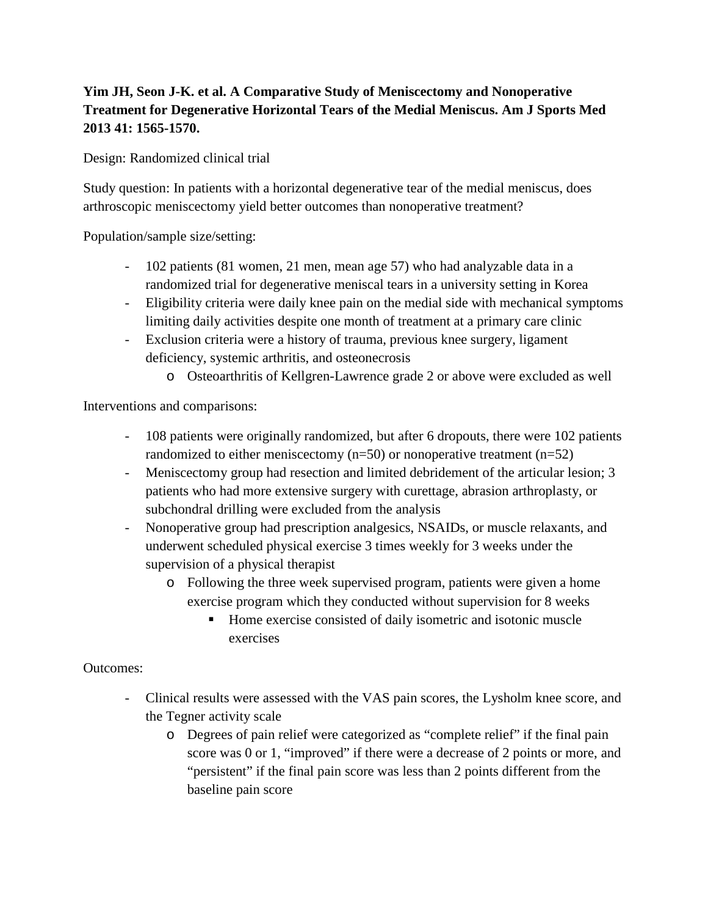## **Yim JH, Seon J-K. et al. A Comparative Study of Meniscectomy and Nonoperative Treatment for Degenerative Horizontal Tears of the Medial Meniscus. Am J Sports Med 2013 41: 1565-1570.**

Design: Randomized clinical trial

Study question: In patients with a horizontal degenerative tear of the medial meniscus, does arthroscopic meniscectomy yield better outcomes than nonoperative treatment?

Population/sample size/setting:

- 102 patients (81 women, 21 men, mean age 57) who had analyzable data in a randomized trial for degenerative meniscal tears in a university setting in Korea
- Eligibility criteria were daily knee pain on the medial side with mechanical symptoms limiting daily activities despite one month of treatment at a primary care clinic
- Exclusion criteria were a history of trauma, previous knee surgery, ligament deficiency, systemic arthritis, and osteonecrosis
	- o Osteoarthritis of Kellgren-Lawrence grade 2 or above were excluded as well

Interventions and comparisons:

- 108 patients were originally randomized, but after 6 dropouts, there were 102 patients randomized to either meniscectomy  $(n=50)$  or nonoperative treatment  $(n=52)$
- Meniscectomy group had resection and limited debridement of the articular lesion; 3 patients who had more extensive surgery with curettage, abrasion arthroplasty, or subchondral drilling were excluded from the analysis
- Nonoperative group had prescription analgesics, NSAIDs, or muscle relaxants, and underwent scheduled physical exercise 3 times weekly for 3 weeks under the supervision of a physical therapist
	- o Following the three week supervised program, patients were given a home exercise program which they conducted without supervision for 8 weeks
		- Home exercise consisted of daily isometric and isotonic muscle exercises

Outcomes:

- Clinical results were assessed with the VAS pain scores, the Lysholm knee score, and the Tegner activity scale
	- o Degrees of pain relief were categorized as "complete relief" if the final pain score was 0 or 1, "improved" if there were a decrease of 2 points or more, and "persistent" if the final pain score was less than 2 points different from the baseline pain score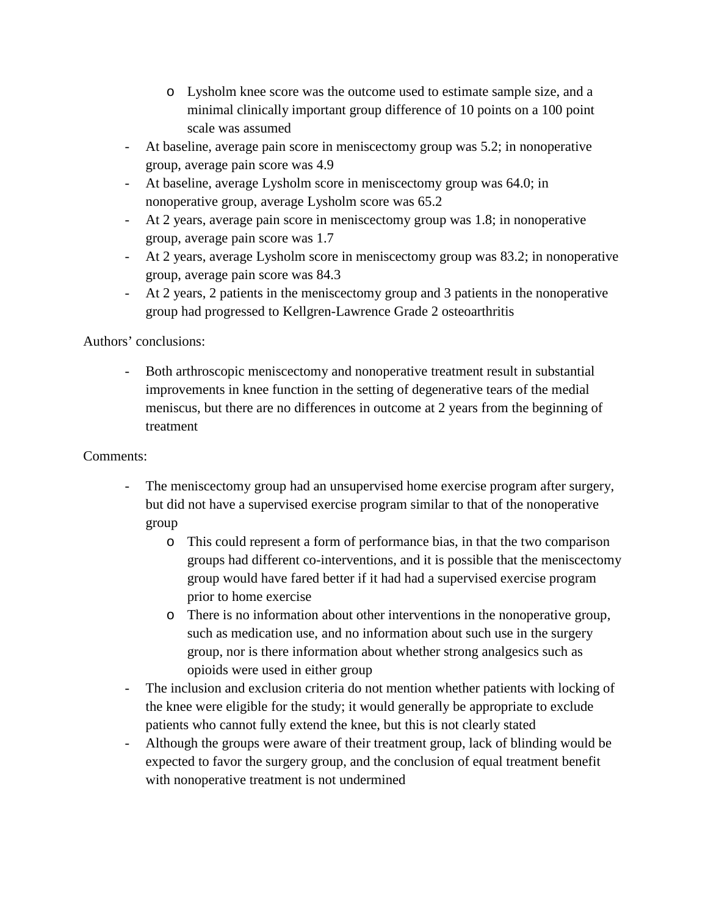- o Lysholm knee score was the outcome used to estimate sample size, and a minimal clinically important group difference of 10 points on a 100 point scale was assumed
- At baseline, average pain score in meniscectomy group was 5.2; in nonoperative group, average pain score was 4.9
- At baseline, average Lysholm score in meniscectomy group was 64.0; in nonoperative group, average Lysholm score was 65.2
- At 2 years, average pain score in meniscectomy group was 1.8; in nonoperative group, average pain score was 1.7
- At 2 years, average Lysholm score in meniscectomy group was 83.2; in nonoperative group, average pain score was 84.3
- At 2 years, 2 patients in the meniscectomy group and 3 patients in the nonoperative group had progressed to Kellgren-Lawrence Grade 2 osteoarthritis

Authors' conclusions:

- Both arthroscopic meniscectomy and nonoperative treatment result in substantial improvements in knee function in the setting of degenerative tears of the medial meniscus, but there are no differences in outcome at 2 years from the beginning of treatment

## Comments:

- The meniscectomy group had an unsupervised home exercise program after surgery, but did not have a supervised exercise program similar to that of the nonoperative group
	- o This could represent a form of performance bias, in that the two comparison groups had different co-interventions, and it is possible that the meniscectomy group would have fared better if it had had a supervised exercise program prior to home exercise
	- o There is no information about other interventions in the nonoperative group, such as medication use, and no information about such use in the surgery group, nor is there information about whether strong analgesics such as opioids were used in either group
- The inclusion and exclusion criteria do not mention whether patients with locking of the knee were eligible for the study; it would generally be appropriate to exclude patients who cannot fully extend the knee, but this is not clearly stated
- Although the groups were aware of their treatment group, lack of blinding would be expected to favor the surgery group, and the conclusion of equal treatment benefit with nonoperative treatment is not undermined